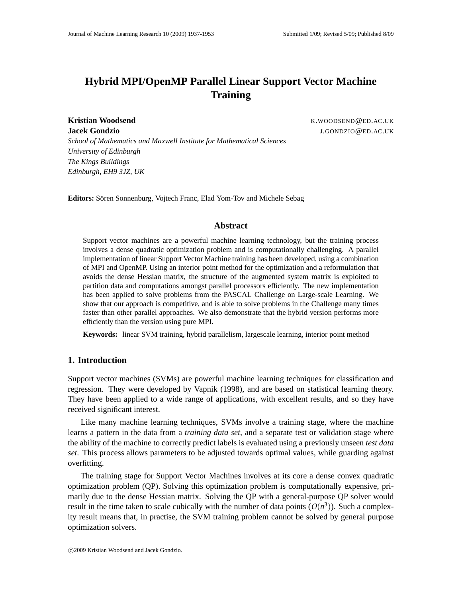# **Hybrid MPI/OpenMP Parallel Linear Support Vector Machine Training**

*School of Mathematics and Maxwell Institute for Mathematical Sciences*

*University of Edinburgh The Kings Buildings Edinburgh, EH9 3JZ, UK*

**Kristian Woodsend** K.WOODSEND@ED.AC.UK **Jacek Gondzio** J.GONDZIO@ED.AC.UK

Editors: Sören Sonnenburg, Vojtech Franc, Elad Yom-Tov and Michele Sebag

## **Abstract**

Support vector machines are a powerful machine learning technology, but the training process involves a dense quadratic optimization problem and is computationally challenging. A parallel implementation of linear Support Vector Machine training has been developed, using a combination of MPI and OpenMP. Using an interior point method for the optimization and a reformulation that avoids the dense Hessian matrix, the structure of the augmented system matrix is exploited to partition data and computations amongst parallel processors efficiently. The new implementation has been applied to solve problems from the PASCAL Challenge on Large-scale Learning. We show that our approach is competitive, and is able to solve problems in the Challenge many times faster than other parallel approaches. We also demonstrate that the hybrid version performs more efficiently than the version using pure MPI.

**Keywords:** linear SVM training, hybrid parallelism, largescale learning, interior point method

# **1. Introduction**

Support vector machines (SVMs) are powerful machine learning techniques for classification and regression. They were developed by Vapnik (1998), and are based on statistical learning theory. They have been applied to a wide range of applications, with excellent results, and so they have received significant interest.

Like many machine learning techniques, SVMs involve a training stage, where the machine learns a pattern in the data from a *training data set*, and a separate test or validation stage where the ability of the machine to correctly predict labels is evaluated using a previously unseen *test data set*. This process allows parameters to be adjusted towards optimal values, while guarding against overfitting.

The training stage for Support Vector Machines involves at its core a dense convex quadratic optimization problem (QP). Solving this optimization problem is computationally expensive, primarily due to the dense Hessian matrix. Solving the QP with a general-purpose QP solver would result in the time taken to scale cubically with the number of data points  $(O(n^3))$ . Such a complexity result means that, in practise, the SVM training problem cannot be solved by general purpose optimization solvers.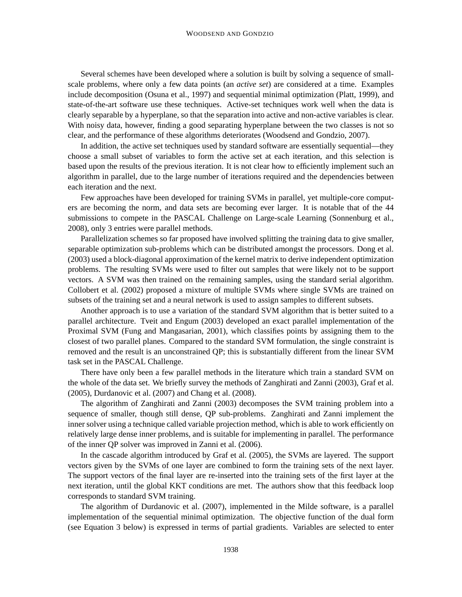Several schemes have been developed where a solution is built by solving a sequence of smallscale problems, where only a few data points (an *active set*) are considered at a time. Examples include decomposition (Osuna et al., 1997) and sequential minimal optimization (Platt, 1999), and state-of-the-art software use these techniques. Active-set techniques work well when the data is clearly separable by a hyperplane, so that the separation into active and non-active variables is clear. With noisy data, however, finding a good separating hyperplane between the two classes is not so clear, and the performance of these algorithms deteriorates (Woodsend and Gondzio, 2007).

In addition, the active set techniques used by standard software are essentially sequential—they choose a small subset of variables to form the active set at each iteration, and this selection is based upon the results of the previous iteration. It is not clear how to efficiently implement such an algorithm in parallel, due to the large number of iterations required and the dependencies between each iteration and the next.

Few approaches have been developed for training SVMs in parallel, yet multiple-core computers are becoming the norm, and data sets are becoming ever larger. It is notable that of the 44 submissions to compete in the PASCAL Challenge on Large-scale Learning (Sonnenburg et al., 2008), only 3 entries were parallel methods.

Parallelization schemes so far proposed have involved splitting the training data to give smaller, separable optimization sub-problems which can be distributed amongst the processors. Dong et al. (2003) used a block-diagonal approximation of the kernel matrix to derive independent optimization problems. The resulting SVMs were used to filter out samples that were likely not to be support vectors. A SVM was then trained on the remaining samples, using the standard serial algorithm. Collobert et al. (2002) proposed a mixture of multiple SVMs where single SVMs are trained on subsets of the training set and a neural network is used to assign samples to different subsets.

Another approach is to use a variation of the standard SVM algorithm that is better suited to a parallel architecture. Tveit and Engum (2003) developed an exact parallel implementation of the Proximal SVM (Fung and Mangasarian, 2001), which classifies points by assigning them to the closest of two parallel planes. Compared to the standard SVM formulation, the single constraint is removed and the result is an unconstrained QP; this is substantially different from the linear SVM task set in the PASCAL Challenge.

There have only been a few parallel methods in the literature which train a standard SVM on the whole of the data set. We briefly survey the methods of Zanghirati and Zanni (2003), Graf et al. (2005), Durdanovic et al. (2007) and Chang et al. (2008).

The algorithm of Zanghirati and Zanni (2003) decomposes the SVM training problem into a sequence of smaller, though still dense, QP sub-problems. Zanghirati and Zanni implement the inner solver using a technique called variable projection method, which is able to work efficiently on relatively large dense inner problems, and is suitable for implementing in parallel. The performance of the inner QP solver was improved in Zanni et al. (2006).

In the cascade algorithm introduced by Graf et al. (2005), the SVMs are layered. The support vectors given by the SVMs of one layer are combined to form the training sets of the next layer. The support vectors of the final layer are re-inserted into the training sets of the first layer at the next iteration, until the global KKT conditions are met. The authors show that this feedback loop corresponds to standard SVM training.

The algorithm of Durdanovic et al. (2007), implemented in the Milde software, is a parallel implementation of the sequential minimal optimization. The objective function of the dual form (see Equation 3 below) is expressed in terms of partial gradients. Variables are selected to enter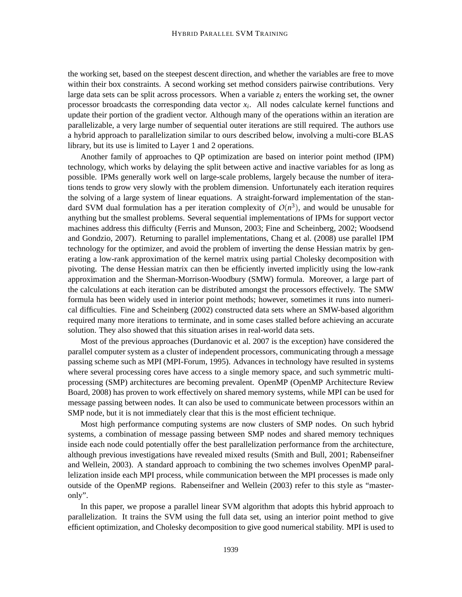the working set, based on the steepest descent direction, and whether the variables are free to move within their box constraints. A second working set method considers pairwise contributions. Very large data sets can be split across processors. When a variable  $z_i$  enters the working set, the owner processor broadcasts the corresponding data vector *x<sup>i</sup>* . All nodes calculate kernel functions and update their portion of the gradient vector. Although many of the operations within an iteration are parallelizable, a very large number of sequential outer iterations are still required. The authors use a hybrid approach to parallelization similar to ours described below, involving a multi-core BLAS library, but its use is limited to Layer 1 and 2 operations.

Another family of approaches to QP optimization are based on interior point method (IPM) technology, which works by delaying the split between active and inactive variables for as long as possible. IPMs generally work well on large-scale problems, largely because the number of iterations tends to grow very slowly with the problem dimension. Unfortunately each iteration requires the solving of a large system of linear equations. A straight-forward implementation of the standard SVM dual formulation has a per iteration complexity of  $O(n^3)$ , and would be unusable for anything but the smallest problems. Several sequential implementations of IPMs for support vector machines address this difficulty (Ferris and Munson, 2003; Fine and Scheinberg, 2002; Woodsend and Gondzio, 2007). Returning to parallel implementations, Chang et al. (2008) use parallel IPM technology for the optimizer, and avoid the problem of inverting the dense Hessian matrix by generating a low-rank approximation of the kernel matrix using partial Cholesky decomposition with pivoting. The dense Hessian matrix can then be efficiently inverted implicitly using the low-rank approximation and the Sherman-Morrison-Woodbury (SMW) formula. Moreover, a large part of the calculations at each iteration can be distributed amongst the processors effectively. The SMW formula has been widely used in interior point methods; however, sometimes it runs into numerical difficulties. Fine and Scheinberg (2002) constructed data sets where an SMW-based algorithm required many more iterations to terminate, and in some cases stalled before achieving an accurate solution. They also showed that this situation arises in real-world data sets.

Most of the previous approaches (Durdanovic et al. 2007 is the exception) have considered the parallel computer system as a cluster of independent processors, communicating through a message passing scheme such as MPI (MPI-Forum, 1995). Advances in technology have resulted in systems where several processing cores have access to a single memory space, and such symmetric multiprocessing (SMP) architectures are becoming prevalent. OpenMP (OpenMP Architecture Review Board, 2008) has proven to work effectively on shared memory systems, while MPI can be used for message passing between nodes. It can also be used to communicate between processors within an SMP node, but it is not immediately clear that this is the most efficient technique.

Most high performance computing systems are now clusters of SMP nodes. On such hybrid systems, a combination of message passing between SMP nodes and shared memory techniques inside each node could potentially offer the best parallelization performance from the architecture, although previous investigations have revealed mixed results (Smith and Bull, 2001; Rabenseifner and Wellein, 2003). A standard approach to combining the two schemes involves OpenMP parallelization inside each MPI process, while communication between the MPI processes is made only outside of the OpenMP regions. Rabenseifner and Wellein (2003) refer to this style as "masteronly".

In this paper, we propose a parallel linear SVM algorithm that adopts this hybrid approach to parallelization. It trains the SVM using the full data set, using an interior point method to give efficient optimization, and Cholesky decomposition to give good numerical stability. MPI is used to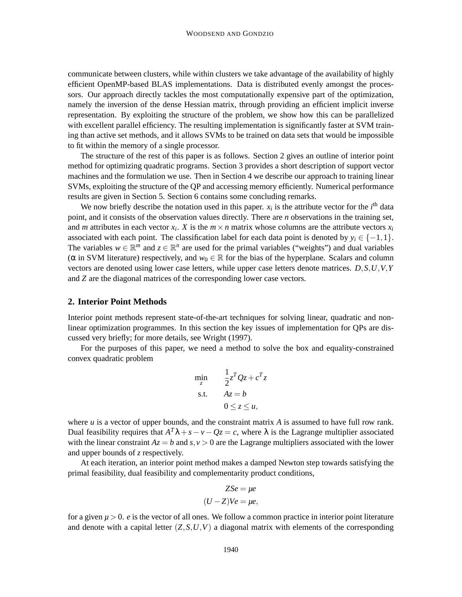communicate between clusters, while within clusters we take advantage of the availability of highly efficient OpenMP-based BLAS implementations. Data is distributed evenly amongst the processors. Our approach directly tackles the most computationally expensive part of the optimization, namely the inversion of the dense Hessian matrix, through providing an efficient implicit inverse representation. By exploiting the structure of the problem, we show how this can be parallelized with excellent parallel efficiency. The resulting implementation is significantly faster at SVM training than active set methods, and it allows SVMs to be trained on data sets that would be impossible to fit within the memory of a single processor.

The structure of the rest of this paper is as follows. Section 2 gives an outline of interior point method for optimizing quadratic programs. Section 3 provides a short description of support vector machines and the formulation we use. Then in Section 4 we describe our approach to training linear SVMs, exploiting the structure of the QP and accessing memory efficiently. Numerical performance results are given in Section 5. Section 6 contains some concluding remarks.

We now briefly describe the notation used in this paper.  $x_i$  is the attribute vector for the  $i<sup>th</sup>$  data point, and it consists of the observation values directly. There are *n* observations in the training set, and *m* attributes in each vector  $x_i$ . *X* is the  $m \times n$  matrix whose columns are the attribute vectors  $x_i$ associated with each point. The classification label for each data point is denoted by  $y_i \in \{-1,1\}$ . The variables  $w \in \mathbb{R}^m$  and  $z \in \mathbb{R}^n$  are used for the primal variables ("weights") and dual variables ( $\alpha$  in SVM literature) respectively, and  $w_0 \in \mathbb{R}$  for the bias of the hyperplane. Scalars and column vectors are denoted using lower case letters, while upper case letters denote matrices. *D*,*S*,*U*,*V*,*Y* and *Z* are the diagonal matrices of the corresponding lower case vectors.

#### **2. Interior Point Methods**

Interior point methods represent state-of-the-art techniques for solving linear, quadratic and nonlinear optimization programmes. In this section the key issues of implementation for QPs are discussed very briefly; for more details, see Wright (1997).

For the purposes of this paper, we need a method to solve the box and equality-constrained convex quadratic problem

$$
\min_{z} \qquad \frac{1}{2}z^{T}Qz + c^{T}z
$$
\n
$$
\text{s.t.} \qquad Az = b
$$
\n
$$
0 \le z \le u,
$$

where  $u$  is a vector of upper bounds, and the constraint matrix  $A$  is assumed to have full row rank. Dual feasibility requires that  $A^T \lambda + s - v - Qz = c$ , where  $\lambda$  is the Lagrange multiplier associated with the linear constraint  $Az = b$  and  $s, v > 0$  are the Lagrange multipliers associated with the lower and upper bounds of *z* respectively.

At each iteration, an interior point method makes a damped Newton step towards satisfying the primal feasibility, dual feasibility and complementarity product conditions,

$$
ZSe = \mu e
$$

$$
(U - Z)Ve = \mu e,
$$

for a given  $\mu > 0$ . *e* is the vector of all ones. We follow a common practice in interior point literature and denote with a capital letter  $(Z, S, U, V)$  a diagonal matrix with elements of the corresponding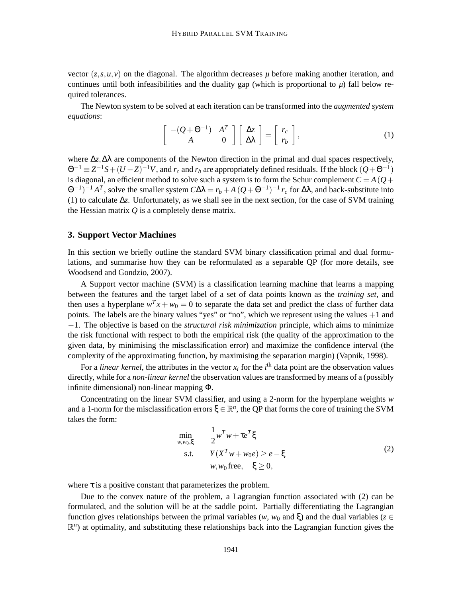vector  $(z, s, u, v)$  on the diagonal. The algorithm decreases  $\mu$  before making another iteration, and continues until both infeasibilities and the duality gap (which is proportional to  $\mu$ ) fall below required tolerances.

The Newton system to be solved at each iteration can be transformed into the *augmented system equations*:

$$
\left[\begin{array}{cc}-(Q+\Theta^{-1}) & A^T\\ A & 0\end{array}\right]\left[\begin{array}{c}\Delta z\\ \Delta \lambda\end{array}\right]=\left[\begin{array}{c}r_c\\ r_b\end{array}\right],\tag{1}
$$

where ∆*z*,∆λ are components of the Newton direction in the primal and dual spaces respectively,  $\Theta^{-1} \equiv Z^{-1}S + (U - Z)^{-1}V$ , and  $r_c$  and  $r_b$  are appropriately defined residuals. If the block  $(Q + \Theta^{-1})$ is diagonal, an efficient method to solve such a system is to form the Schur complement  $C = A(Q +$  $\Theta^{-1}$ <sup>-1</sup> *A<sup>T</sup>*, solve the smaller system *C*Δλ = *r<sub>b</sub>* + *A*(*Q* +  $\Theta^{-1}$ )<sup>-1</sup> *r<sub>c</sub>* for Δλ, and back-substitute into (1) to calculate ∆*z*. Unfortunately, as we shall see in the next section, for the case of SVM training the Hessian matrix *Q* is a completely dense matrix.

### **3. Support Vector Machines**

In this section we briefly outline the standard SVM binary classification primal and dual formulations, and summarise how they can be reformulated as a separable QP (for more details, see Woodsend and Gondzio, 2007).

A Support vector machine (SVM) is a classification learning machine that learns a mapping between the features and the target label of a set of data points known as the *training set*, and then uses a hyperplane  $w^T x + w_0 = 0$  to separate the data set and predict the class of further data points. The labels are the binary values "yes" or "no", which we represent using the values +1 and −1. The objective is based on the *structural risk minimization* principle, which aims to minimize the risk functional with respect to both the empirical risk (the quality of the approximation to the given data, by minimising the misclassification error) and maximize the confidence interval (the complexity of the approximating function, by maximising the separation margin) (Vapnik, 1998).

For a *linear kernel*, the attributes in the vector  $x_i$  for the  $i<sup>th</sup>$  data point are the observation values directly, while for a *non-linear kernel* the observation values are transformed by means of a (possibly infinite dimensional) non-linear mapping Φ.

Concentrating on the linear SVM classifier, and using a 2-norm for the hyperplane weights *w* and a 1-norm for the misclassification errors  $\xi \in \mathbb{R}^n$ , the QP that forms the core of training the SVM takes the form:

$$
\min_{w, w_0, \xi} \qquad \frac{1}{2} w^T w + \tau e^T \xi
$$
\n
$$
\text{s.t.} \qquad Y(X^T w + w_0 e) \ge e - \xi
$$
\n
$$
w, w_0 \text{ free}, \quad \xi \ge 0,
$$
\n
$$
(2)
$$

where  $\tau$  is a positive constant that parameterizes the problem.

Due to the convex nature of the problem, a Lagrangian function associated with (2) can be formulated, and the solution will be at the saddle point. Partially differentiating the Lagrangian function gives relationships between the primal variables ( $w$ ,  $w_0$  and  $\xi$ ) and the dual variables ( $z \in \xi$  $\mathbb{R}^n$ ) at optimality, and substituting these relationships back into the Lagrangian function gives the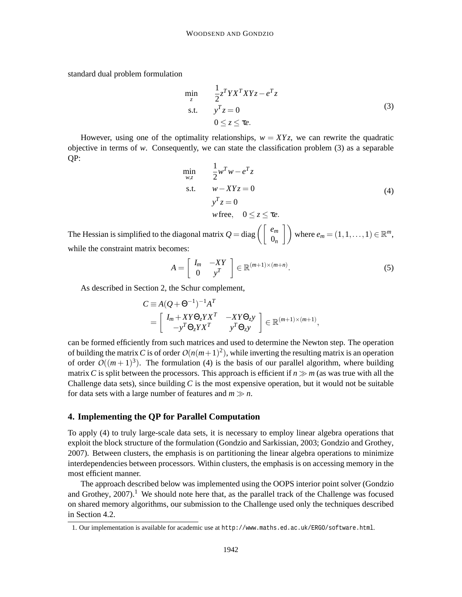standard dual problem formulation

$$
\min_{z} \qquad \frac{1}{2} z^T Y X^T X Y z - e^T z
$$
\n
$$
\text{s.t.} \qquad y^T z = 0
$$
\n
$$
0 \le z \le \tau e. \tag{3}
$$

However, using one of the optimality relationships,  $w = XYz$ , we can rewrite the quadratic objective in terms of *w*. Consequently, we can state the classification problem (3) as a separable QP:

$$
\min_{w,z} \qquad \frac{1}{2} w^T w - e^T z
$$
\n
$$
\text{s.t.} \qquad w - XYz = 0
$$
\n
$$
y^T z = 0
$$
\n
$$
w \text{ free}, \quad 0 \le z \le \tau e.
$$
\n(4)

The Hessian is simplified to the diagonal matrix  $Q = \text{diag}\left(\begin{bmatrix} e_m \\ 0_n \end{bmatrix}\right)$  where  $e_m = (1, 1, \ldots, 1) \in \mathbb{R}^m$ , while the constraint matrix becomes:

$$
A = \left[ \begin{array}{cc} I_m & -XY \\ 0 & y^T \end{array} \right] \in \mathbb{R}^{(m+1)\times(m+n)}.\tag{5}
$$

As described in Section 2, the Schur complement,

$$
C \equiv A(Q + \Theta^{-1})^{-1} A^T
$$
  
=  $\begin{bmatrix} I_m + XY\Theta_z YX^T & -XY\Theta_z y \\ -y^T\Theta_z YX^T & y^T\Theta_z y \end{bmatrix} \in \mathbb{R}^{(m+1)\times(m+1)},$ 

can be formed efficiently from such matrices and used to determine the Newton step. The operation of building the matrix C is of order  $O(n(m+1)^2)$ , while inverting the resulting matrix is an operation of order  $O((m+1)^3)$ . The formulation (4) is the basis of our parallel algorithm, where building matrix *C* is split between the processors. This approach is efficient if  $n \gg m$  (as was true with all the Challenge data sets), since building *C* is the most expensive operation, but it would not be suitable for data sets with a large number of features and  $m \gg n$ .

### **4. Implementing the QP for Parallel Computation**

To apply (4) to truly large-scale data sets, it is necessary to employ linear algebra operations that exploit the block structure of the formulation (Gondzio and Sarkissian, 2003; Gondzio and Grothey, 2007). Between clusters, the emphasis is on partitioning the linear algebra operations to minimize interdependencies between processors. Within clusters, the emphasis is on accessing memory in the most efficient manner.

The approach described below was implemented using the OOPS interior point solver (Gondzio and Grothey,  $2007$ ).<sup>1</sup> We should note here that, as the parallel track of the Challenge was focused on shared memory algorithms, our submission to the Challenge used only the techniques described in Section 4.2.

<sup>1.</sup> Our implementation is available for academic use at http://www.maths.ed.ac.uk/ERGO/software.html.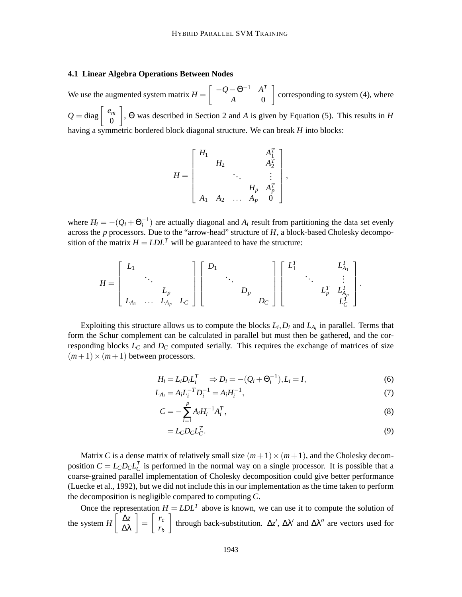## **4.1 Linear Algebra Operations Between Nodes**

We use the augmented system matrix  $H = \begin{bmatrix} -Q - \Theta^{-1} & A^T \\ A & 0 \end{bmatrix}$ *A* 0 corresponding to system  $(4)$ , where  $Q = \text{diag} \left[ \begin{array}{c} e_m \\ 0 \end{array} \right]$ 0 , Θ was described in Section 2 and *A* is given by Equation (5). This results in *H* having a symmetric bordered block diagonal structure. We can break *H* into blocks:

$$
H = \begin{bmatrix} H_1 & & & A_1^T \\ & H_2 & & A_2^T \\ & & \ddots & & \vdots \\ & & & H_p & A_p^T \\ & & & & H_p & A_p^T \\ A_1 & A_2 & \dots & A_p & 0 \end{bmatrix},
$$

where  $H_i = -(Q_i + \Theta_i^{-1})$  are actually diagonal and  $A_i$  result from partitioning the data set evenly across the *p* processors. Due to the "arrow-head" structure of *H*, a block-based Cholesky decomposition of the matrix  $H = LDL^T$  will be guaranteed to have the structure:

$$
H = \begin{bmatrix} L_1 & & & \\ & \ddots & & \\ & & L_p & \\ & & & L_{A_1} & \ldots & L_{A_p} & L_C \end{bmatrix} \begin{bmatrix} D_1 & & & & \\ & \ddots & & & \\ & & D_p & & \\ & & & D_C & \end{bmatrix} \begin{bmatrix} L_1^T & & & L_{A_1}^T \\ & \ddots & & \vdots \\ & & L_p^T & L_{A_p}^T \\ & & & L_C^T \end{bmatrix}.
$$

Exploiting this structure allows us to compute the blocks  $L_i$ ,  $D_i$  and  $L_{A_i}$  in parallel. Terms that form the Schur complement can be calculated in parallel but must then be gathered, and the corresponding blocks *L<sup>C</sup>* and *D<sup>C</sup>* computed serially. This requires the exchange of matrices of size  $(m+1) \times (m+1)$  between processors.

$$
H_i = L_i D_i L_i^T \Rightarrow D_i = -(Q_i + \Theta_i^{-1}), L_i = I,
$$
\n(6)

$$
L_{A_i} = A_i L_i^{-T} D_i^{-1} = A_i H_i^{-1},
$$
\n(7)

$$
C = -\sum_{i=1}^{p} A_i H_i^{-1} A_i^T,
$$
\n(8)

$$
=L_{C}D_{C}L_{C}^{T}.
$$
\n<sup>(9)</sup>

Matrix *C* is a dense matrix of relatively small size  $(m+1) \times (m+1)$ , and the Cholesky decomposition  $C = L_C D_C L_C^T$  is performed in the normal way on a single processor. It is possible that a coarse-grained parallel implementation of Cholesky decomposition could give better performance (Luecke et al., 1992), but we did not include this in our implementation as the time taken to perform the decomposition is negligible compared to computing *C*.

Once the representation  $H = LDL^T$  above is known, we can use it to compute the solution of the system  $H\begin{bmatrix} \Delta z \\ \Delta \lambda \end{bmatrix} = \begin{bmatrix} r_c \\ r_b \end{bmatrix}$ *rb* through back-substitution.  $\Delta z'$ ,  $\Delta \lambda'$  and  $\Delta \lambda''$  are vectors used for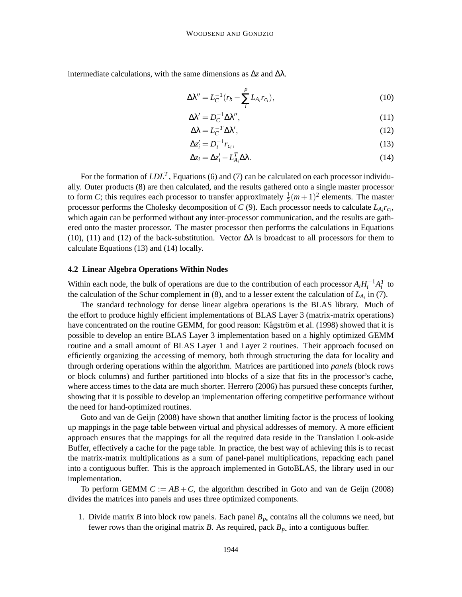intermediate calculations, with the same dimensions as  $\Delta z$  and  $\Delta \lambda$ .

$$
\Delta \lambda'' = L_C^{-1} (r_b - \sum_{i}^{p} L_{A_i} r_{c_i}),
$$
\n(10)

$$
\Delta \lambda' = D_C^{-1} \Delta \lambda'',\tag{11}
$$

$$
\Delta \lambda = L_C^{-T} \Delta \lambda',\tag{12}
$$

$$
\Delta z_i' = D_i^{-1} r_{c_i},\tag{13}
$$

$$
\Delta z_i = \Delta z'_i - L_{A_i}^T \Delta \lambda. \tag{14}
$$

For the formation of  $LDL<sup>T</sup>$ , Equations (6) and (7) can be calculated on each processor individually. Outer products (8) are then calculated, and the results gathered onto a single master processor to form *C*; this requires each processor to transfer approximately  $\frac{1}{2}(m+1)^2$  elements. The master processor performs the Cholesky decomposition of *C* (9). Each processor needs to calculate *LA<sup>i</sup> rci* , which again can be performed without any inter-processor communication, and the results are gathered onto the master processor. The master processor then performs the calculations in Equations (10), (11) and (12) of the back-substitution. Vector  $\Delta\lambda$  is broadcast to all processors for them to calculate Equations (13) and (14) locally.

### **4.2 Linear Algebra Operations Within Nodes**

Within each node, the bulk of operations are due to the contribution of each processor  $A_i H_i^{-1} A_i^T$  to the calculation of the Schur complement in (8), and to a lesser extent the calculation of *LA<sup>i</sup>* in (7).

The standard technology for dense linear algebra operations is the BLAS library. Much of the effort to produce highly efficient implementations of BLAS Layer 3 (matrix-matrix operations) have concentrated on the routine GEMM, for good reason: Kågström et al. (1998) showed that it is possible to develop an entire BLAS Layer 3 implementation based on a highly optimized GEMM routine and a small amount of BLAS Layer 1 and Layer 2 routines. Their approach focused on efficiently organizing the accessing of memory, both through structuring the data for locality and through ordering operations within the algorithm. Matrices are partitioned into *panels* (block rows or block columns) and further partitioned into blocks of a size that fits in the processor's cache, where access times to the data are much shorter. Herrero (2006) has pursued these concepts further, showing that it is possible to develop an implementation offering competitive performance without the need for hand-optimized routines.

Goto and van de Geijn (2008) have shown that another limiting factor is the process of looking up mappings in the page table between virtual and physical addresses of memory. A more efficient approach ensures that the mappings for all the required data reside in the Translation Look-aside Buffer, effectively a cache for the page table. In practice, the best way of achieving this is to recast the matrix-matrix multiplications as a sum of panel-panel multiplications, repacking each panel into a contiguous buffer. This is the approach implemented in GotoBLAS, the library used in our implementation.

To perform GEMM  $C := AB + C$ , the algorithm described in Goto and van de Geijn (2008) divides the matrices into panels and uses three optimized components.

1. Divide matrix *B* into block row panels. Each panel  $B_p$ , contains all the columns we need, but fewer rows than the original matrix *B*. As required, pack  $B_p$  into a contiguous buffer.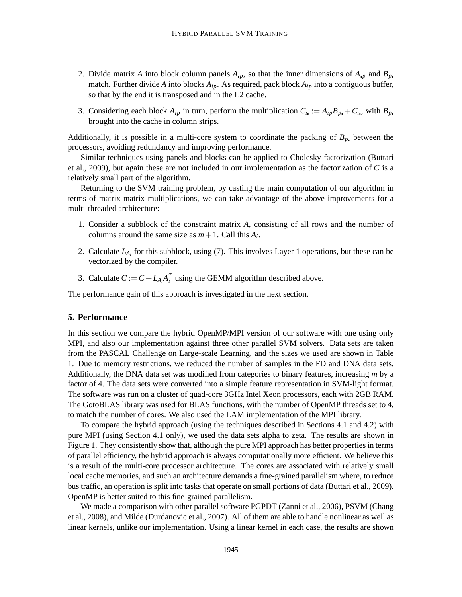- 2. Divide matrix *A* into block column panels  $A$ <sub>*p*</sub>, so that the inner dimensions of  $A$ <sub>*p*</sub> and  $B$ <sub>*p*</sub>. match. Further divide *A* into blocks *Aip*. As required, pack block *Aip* into a contiguous buffer, so that by the end it is transposed and in the L2 cache.
- 3. Considering each block  $A_{ip}$  in turn, perform the multiplication  $C_i := A_{ip}B_p + C_i$ , with  $B_p$ . brought into the cache in column strips.

Additionally, it is possible in a multi-core system to coordinate the packing of  $B_p$ , between the processors, avoiding redundancy and improving performance.

Similar techniques using panels and blocks can be applied to Cholesky factorization (Buttari et al., 2009), but again these are not included in our implementation as the factorization of *C* is a relatively small part of the algorithm.

Returning to the SVM training problem, by casting the main computation of our algorithm in terms of matrix-matrix multiplications, we can take advantage of the above improvements for a multi-threaded architecture:

- 1. Consider a subblock of the constraint matrix *A*, consisting of all rows and the number of columns around the same size as  $m + 1$ . Call this  $A_i$ .
- 2. Calculate  $L_{A_i}$  for this subblock, using (7). This involves Layer 1 operations, but these can be vectorized by the compiler.
- 3. Calculate  $C := C + L_{A_i} A_i^T$  using the GEMM algorithm described above.

The performance gain of this approach is investigated in the next section.

# **5. Performance**

In this section we compare the hybrid OpenMP/MPI version of our software with one using only MPI, and also our implementation against three other parallel SVM solvers. Data sets are taken from the PASCAL Challenge on Large-scale Learning, and the sizes we used are shown in Table 1. Due to memory restrictions, we reduced the number of samples in the FD and DNA data sets. Additionally, the DNA data set was modified from categories to binary features, increasing *m* by a factor of 4. The data sets were converted into a simple feature representation in SVM-light format. The software was run on a cluster of quad-core 3GHz Intel Xeon processors, each with 2GB RAM. The GotoBLAS library was used for BLAS functions, with the number of OpenMP threads set to 4, to match the number of cores. We also used the LAM implementation of the MPI library.

To compare the hybrid approach (using the techniques described in Sections 4.1 and 4.2) with pure MPI (using Section 4.1 only), we used the data sets alpha to zeta. The results are shown in Figure 1. They consistently show that, although the pure MPI approach has better properties in terms of parallel efficiency, the hybrid approach is always computationally more efficient. We believe this is a result of the multi-core processor architecture. The cores are associated with relatively small local cache memories, and such an architecture demands a fine-grained parallelism where, to reduce bus traffic, an operation is split into tasks that operate on small portions of data (Buttari et al., 2009). OpenMP is better suited to this fine-grained parallelism.

We made a comparison with other parallel software PGPDT (Zanni et al., 2006), PSVM (Chang et al., 2008), and Milde (Durdanovic et al., 2007). All of them are able to handle nonlinear as well as linear kernels, unlike our implementation. Using a linear kernel in each case, the results are shown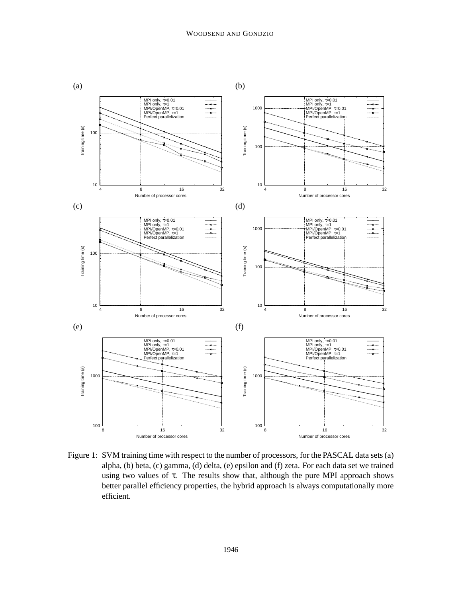

Figure 1: SVM training time with respect to the number of processors, for the PASCAL data sets (a) alpha, (b) beta, (c) gamma, (d) delta, (e) epsilon and (f) zeta. For each data set we trained using two values of  $\tau$ . The results show that, although the pure MPI approach shows better parallel efficiency properties, the hybrid approach is always computationally more efficient.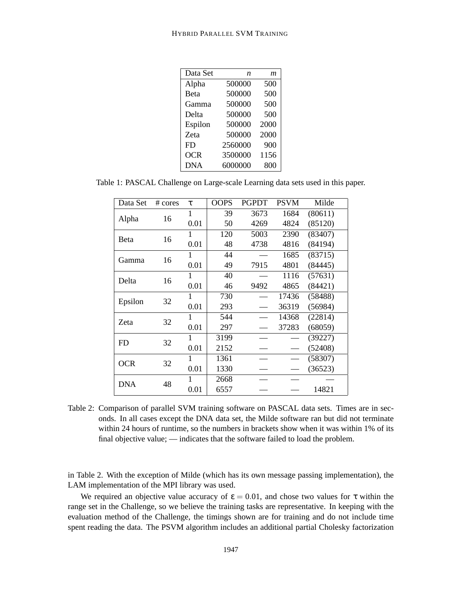| Data Set     | n       | m    |
|--------------|---------|------|
| Alpha        | 500000  | 500  |
| <b>B</b> eta | 500000  | 500  |
| Gamma        | 500000  | 500  |
| Delta        | 500000  | 500  |
| Espilon      | 500000  | 2000 |
| Zeta         | 500000  | 2000 |
| FD.          | 2560000 | 900  |
| <b>OCR</b>   | 3500000 | 1156 |
| <b>DNA</b>   | 6000000 | 800  |

Table 1: PASCAL Challenge on Large-scale Learning data sets used in this paper.

| Data Set     | $# \, cores$ | τ            | <b>OOPS</b> | <b>PGPDT</b> | <b>PSVM</b> | Milde   |
|--------------|--------------|--------------|-------------|--------------|-------------|---------|
|              | 16           | $\mathbf{1}$ | 39          | 3673         | 1684        | (80611) |
| Alpha        |              | 0.01         | 50          | 4269         | 4824        | (85120) |
| <b>B</b> eta | 16           | 1            | 120         | 5003         | 2390        | (83407) |
|              |              | 0.01         | 48          | 4738         | 4816        | (84194) |
|              | 16           | 1            | 44          |              | 1685        | (83715) |
| Gamma        |              | 0.01         | 49          | 7915         | 4801        | (84445) |
| Delta        | 16           | 1            | 40          |              | 1116        | (57631) |
|              |              | 0.01         | 46          | 9492         | 4865        | (84421) |
| Epsilon      | 32           | 1            | 730         |              | 17436       | (58488) |
|              |              | 0.01         | 293         |              | 36319       | (56984) |
| Zeta         | 32           | 1            | 544         |              | 14368       | (22814) |
|              |              | 0.01         | 297         |              | 37283       | (68059) |
| <b>FD</b>    | 32           | 1            | 3199        |              |             | (39227) |
|              |              | 0.01         | 2152        |              |             | (52408) |
| <b>OCR</b>   | 32           | 1            | 1361        |              |             | (58307) |
|              |              | 0.01         | 1330        |              |             | (36523) |
| <b>DNA</b>   | 48           | 1            | 2668        |              |             |         |
|              |              | 0.01         | 6557        |              |             | 14821   |

Table 2: Comparison of parallel SVM training software on PASCAL data sets. Times are in seconds. In all cases except the DNA data set, the Milde software ran but did not terminate within 24 hours of runtime, so the numbers in brackets show when it was within 1% of its final objective value; — indicates that the software failed to load the problem.

in Table 2. With the exception of Milde (which has its own message passing implementation), the LAM implementation of the MPI library was used.

We required an objective value accuracy of  $\varepsilon = 0.01$ , and chose two values for  $\tau$  within the range set in the Challenge, so we believe the training tasks are representative. In keeping with the evaluation method of the Challenge, the timings shown are for training and do not include time spent reading the data. The PSVM algorithm includes an additional partial Cholesky factorization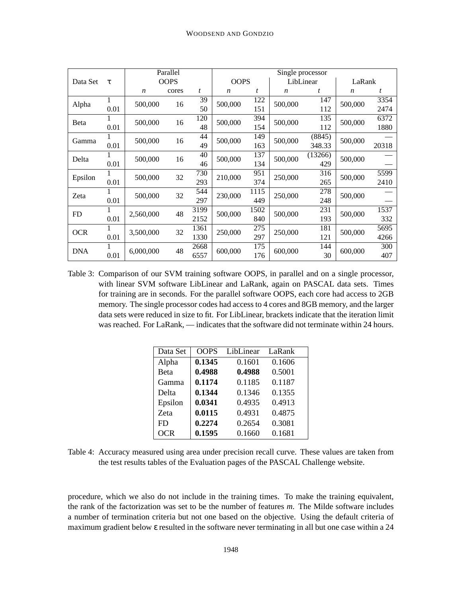|               |      |                  | Parallel |      | Single processor |      |                  |         |                  |       |
|---------------|------|------------------|----------|------|------------------|------|------------------|---------|------------------|-------|
| Data Set<br>τ |      | <b>OOPS</b>      |          |      | <b>OOPS</b>      |      | LibLinear        |         | LaRank           |       |
|               |      | $\boldsymbol{n}$ | cores    | t    | $\boldsymbol{n}$ | t    | $\boldsymbol{n}$ | t       | $\boldsymbol{n}$ | t     |
| Alpha         | 1    | 500,000          | 16       | 39   | 500,000          | 122  | 500,000          | 147     | 500,000          | 3354  |
|               | 0.01 |                  |          | 50   |                  | 151  |                  | 112     |                  | 2474  |
| <b>B</b> eta  |      | 500,000          | 16       | 120  | 500,000          | 394  | 500,000          | 135     | 500,000          | 6372  |
|               | 0.01 |                  |          | 48   |                  | 154  |                  | 112     |                  | 1880  |
| Gamma         |      | 500,000          | 16       | 44   | 500,000          | 149  | 500,000          | (8845)  | 500,000          |       |
|               | 0.01 |                  |          | 49   |                  | 163  |                  | 348.33  |                  | 20318 |
| Delta         | 1    | 500,000          | 16       | 40   | 500,000          | 137  | 500,000          | (13266) | 500,000          |       |
|               | 0.01 |                  |          | 46   |                  | 134  |                  | 429     |                  |       |
| Epsilon       |      | 500,000          | 32       | 730  | 210,000          | 951  | 250,000          | 316     | 500,000          | 5599  |
|               | 0.01 |                  |          | 293  |                  | 374  |                  | 265     |                  | 2410  |
| Zeta          |      | 500,000          | 32       | 544  | 230,000          | 1115 | 250,000          | 278     | 500,000          |       |
|               | 0.01 |                  |          | 297  |                  | 449  |                  | 248     |                  |       |
| FD            |      | 2,560,000        | 48       | 3199 | 500,000          | 1502 | 500,000          | 231     | 500,000          | 1537  |
|               | 0.01 |                  |          | 2152 |                  | 840  |                  | 193     |                  | 332   |
| <b>OCR</b>    | 1    | 3,500,000        | 32       | 1361 | 250,000          | 275  | 250,000          | 181     | 500,000          | 5695  |
|               | 0.01 |                  |          | 1330 |                  | 297  |                  | 121     |                  | 4266  |
| <b>DNA</b>    | 1    | 6,000,000        | 48       | 2668 | 600,000          | 175  | 600,000          | 144     | 600,000          | 300   |
|               | 0.01 |                  |          | 6557 |                  | 176  |                  | 30      |                  | 407   |

Table 3: Comparison of our SVM training software OOPS, in parallel and on a single processor, with linear SVM software LibLinear and LaRank, again on PASCAL data sets. Times for training are in seconds. For the parallel software OOPS, each core had access to 2GB memory. The single processor codes had access to 4 cores and 8GB memory, and the larger data sets were reduced in size to fit. For LibLinear, brackets indicate that the iteration limit was reached. For LaRank, — indicates that the software did not terminate within 24 hours.

| Data Set   | <b>OOPS</b> | LibLinear | LaRank |
|------------|-------------|-----------|--------|
| Alpha      | 0.1345      | 0.1601    | 0.1606 |
| Beta       | 0.4988      | 0.4988    | 0.5001 |
| Gamma      | 0.1174      | 0.1185    | 0.1187 |
| Delta      | 0.1344      | 0.1346    | 0.1355 |
| Epsilon    | 0.0341      | 0.4935    | 0.4913 |
| Zeta       | 0.0115      | 0.4931    | 0.4875 |
| FD         | 0.2274      | 0.2654    | 0.3081 |
| <b>OCR</b> | 0.1595      | 0.1660    | 0.1681 |

Table 4: Accuracy measured using area under precision recall curve. These values are taken from the test results tables of the Evaluation pages of the PASCAL Challenge website.

procedure, which we also do not include in the training times. To make the training equivalent, the rank of the factorization was set to be the number of features *m*. The Milde software includes a number of termination criteria but not one based on the objective. Using the default criteria of maximum gradient below ε resulted in the software never terminating in all but one case within a 24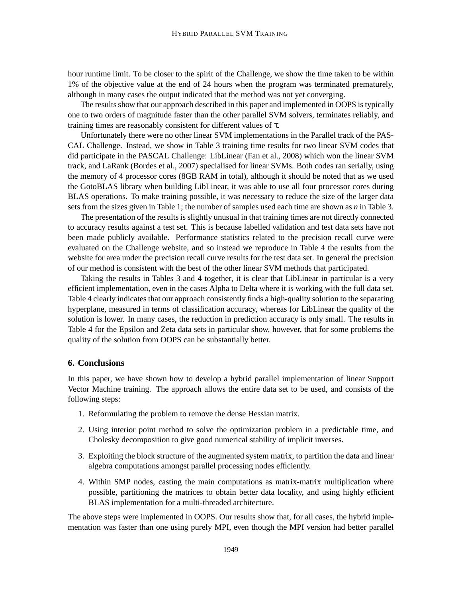hour runtime limit. To be closer to the spirit of the Challenge, we show the time taken to be within 1% of the objective value at the end of 24 hours when the program was terminated prematurely, although in many cases the output indicated that the method was not yet converging.

The results show that our approach described in this paper and implemented in OOPS is typically one to two orders of magnitude faster than the other parallel SVM solvers, terminates reliably, and training times are reasonably consistent for different values of τ.

Unfortunately there were no other linear SVM implementations in the Parallel track of the PAS-CAL Challenge. Instead, we show in Table 3 training time results for two linear SVM codes that did participate in the PASCAL Challenge: LibLinear (Fan et al., 2008) which won the linear SVM track, and LaRank (Bordes et al., 2007) specialised for linear SVMs. Both codes ran serially, using the memory of 4 processor cores (8GB RAM in total), although it should be noted that as we used the GotoBLAS library when building LibLinear, it was able to use all four processor cores during BLAS operations. To make training possible, it was necessary to reduce the size of the larger data sets from the sizes given in Table 1; the number of samples used each time are shown as *n* in Table 3.

The presentation of the results is slightly unusual in that training times are not directly connected to accuracy results against a test set. This is because labelled validation and test data sets have not been made publicly available. Performance statistics related to the precision recall curve were evaluated on the Challenge website, and so instead we reproduce in Table 4 the results from the website for area under the precision recall curve results for the test data set. In general the precision of our method is consistent with the best of the other linear SVM methods that participated.

Taking the results in Tables 3 and 4 together, it is clear that LibLinear in particular is a very efficient implementation, even in the cases Alpha to Delta where it is working with the full data set. Table 4 clearly indicates that our approach consistently finds a high-quality solution to the separating hyperplane, measured in terms of classification accuracy, whereas for LibLinear the quality of the solution is lower. In many cases, the reduction in prediction accuracy is only small. The results in Table 4 for the Epsilon and Zeta data sets in particular show, however, that for some problems the quality of the solution from OOPS can be substantially better.

# **6. Conclusions**

In this paper, we have shown how to develop a hybrid parallel implementation of linear Support Vector Machine training. The approach allows the entire data set to be used, and consists of the following steps:

- 1. Reformulating the problem to remove the dense Hessian matrix.
- 2. Using interior point method to solve the optimization problem in a predictable time, and Cholesky decomposition to give good numerical stability of implicit inverses.
- 3. Exploiting the block structure of the augmented system matrix, to partition the data and linear algebra computations amongst parallel processing nodes efficiently.
- 4. Within SMP nodes, casting the main computations as matrix-matrix multiplication where possible, partitioning the matrices to obtain better data locality, and using highly efficient BLAS implementation for a multi-threaded architecture.

The above steps were implemented in OOPS. Our results show that, for all cases, the hybrid implementation was faster than one using purely MPI, even though the MPI version had better parallel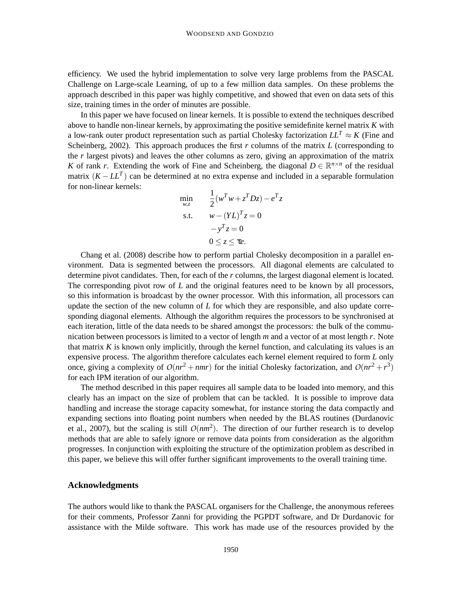efficiency. We used the hybrid implementation to solve very large problems from the PASCAL Challenge on Large-scale Learning, of up to a few million data samples. On these problems the approach described in this paper was highly competitive, and showed that even on data sets of this size, training times in the order of minutes are possible.

In this paper we have focused on linear kernels. It is possible to extend the techniques described above to handle non-linear kernels, by approximating the positive semidefinite kernel matrix *K* with a low-rank outer product representation such as partial Cholesky factorization  $LL^T \approx K$  (Fine and Scheinberg, 2002). This approach produces the first *r* columns of the matrix *L* (corresponding to the *r* largest pivots) and leaves the other columns as zero, giving an approximation of the matrix *K* of rank *r*. Extending the work of Fine and Scheinberg, the diagonal  $D \in \mathbb{R}^{n \times n}$  of the residual matrix (*K* − *LL<sup>T</sup>* ) can be determined at no extra expense and included in a separable formulation for non-linear kernels:

$$
\min_{w,z} \qquad \frac{1}{2} (w^T w + z^T D z) - e^T z
$$
\n
$$
\text{s.t.} \qquad w - (Y L)^T z = 0
$$
\n
$$
-y^T z = 0
$$
\n
$$
0 \le z \le \tau e.
$$

Chang et al. (2008) describe how to perform partial Cholesky decomposition in a parallel environment. Data is segmented between the processors. All diagonal elements are calculated to determine pivot candidates. Then, for each of the *r* columns, the largest diagonal element is located. The corresponding pivot row of *L* and the original features need to be known by all processors, so this information is broadcast by the owner processor. With this information, all processors can update the section of the new column of *L* for which they are responsible, and also update corresponding diagonal elements. Although the algorithm requires the processors to be synchronised at each iteration, little of the data needs to be shared amongst the processors: the bulk of the communication between processors is limited to a vector of length *m* and a vector of at most length *r*. Note that matrix  $K$  is known only implicitly, through the kernel function, and calculating its values is an expensive process. The algorithm therefore calculates each kernel element required to form *L* only once, giving a complexity of  $O(nr^2 + nmr)$  for the initial Cholesky factorization, and  $O(nr^2 + r^3)$ for each IPM iteration of our algorithm.

The method described in this paper requires all sample data to be loaded into memory, and this clearly has an impact on the size of problem that can be tackled. It is possible to improve data handling and increase the storage capacity somewhat, for instance storing the data compactly and expanding sections into floating point numbers when needed by the BLAS routines (Durdanovic et al., 2007), but the scaling is still  $O(nm^2)$ . The direction of our further research is to develop methods that are able to safely ignore or remove data points from consideration as the algorithm progresses. In conjunction with exploiting the structure of the optimization problem as described in this paper, we believe this will offer further significant improvements to the overall training time.

#### **Acknowledgments**

The authors would like to thank the PASCAL organisers for the Challenge, the anonymous referees for their comments, Professor Zanni for providing the PGPDT software, and Dr Durdanovic for assistance with the Milde software. This work has made use of the resources provided by the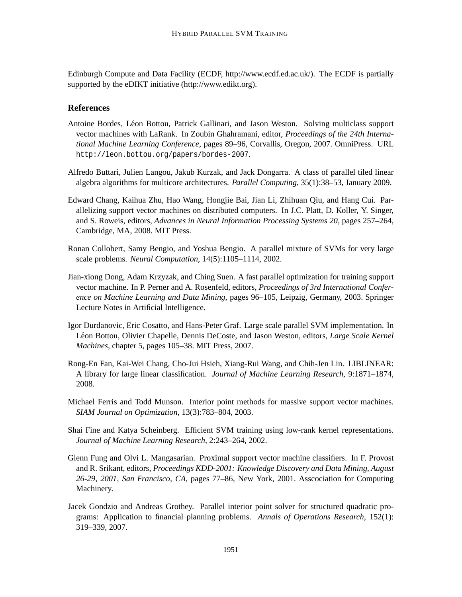Edinburgh Compute and Data Facility (ECDF, http://www.ecdf.ed.ac.uk/). The ECDF is partially supported by the eDIKT initiative (http://www.edikt.org).

# **References**

- Antoine Bordes, Léon Bottou, Patrick Gallinari, and Jason Weston. Solving multiclass support vector machines with LaRank. In Zoubin Ghahramani, editor, *Proceedings of the 24th International Machine Learning Conference*, pages 89–96, Corvallis, Oregon, 2007. OmniPress. URL http://leon.bottou.org/papers/bordes-2007.
- Alfredo Buttari, Julien Langou, Jakub Kurzak, and Jack Dongarra. A class of parallel tiled linear algebra algorithms for multicore architectures. *Parallel Computing*, 35(1):38–53, January 2009.
- Edward Chang, Kaihua Zhu, Hao Wang, Hongjie Bai, Jian Li, Zhihuan Qiu, and Hang Cui. Parallelizing support vector machines on distributed computers. In J.C. Platt, D. Koller, Y. Singer, and S. Roweis, editors, *Advances in Neural Information Processing Systems 20*, pages 257–264, Cambridge, MA, 2008. MIT Press.
- Ronan Collobert, Samy Bengio, and Yoshua Bengio. A parallel mixture of SVMs for very large scale problems. *Neural Computation*, 14(5):1105–1114, 2002.
- Jian-xiong Dong, Adam Krzyzak, and Ching Suen. A fast parallel optimization for training support vector machine. In P. Perner and A. Rosenfeld, editors, *Proceedings of 3rd International Conference on Machine Learning and Data Mining*, pages 96–105, Leipzig, Germany, 2003. Springer Lecture Notes in Artificial Intelligence.
- Igor Durdanovic, Eric Cosatto, and Hans-Peter Graf. Large scale parallel SVM implementation. In Léon Bottou, Olivier Chapelle, Dennis DeCoste, and Jason Weston, editors, *Large Scale Kernel Machines*, chapter 5, pages 105–38. MIT Press, 2007.
- Rong-En Fan, Kai-Wei Chang, Cho-Jui Hsieh, Xiang-Rui Wang, and Chih-Jen Lin. LIBLINEAR: A library for large linear classification. *Journal of Machine Learning Research*, 9:1871–1874, 2008.
- Michael Ferris and Todd Munson. Interior point methods for massive support vector machines. *SIAM Journal on Optimization*, 13(3):783–804, 2003.
- Shai Fine and Katya Scheinberg. Efficient SVM training using low-rank kernel representations. *Journal of Machine Learning Research*, 2:243–264, 2002.
- Glenn Fung and Olvi L. Mangasarian. Proximal support vector machine classifiers. In F. Provost and R. Srikant, editors, *Proceedings KDD-2001: Knowledge Discovery and Data Mining, August 26-29, 2001, San Francisco, CA*, pages 77–86, New York, 2001. Asscociation for Computing Machinery.
- Jacek Gondzio and Andreas Grothey. Parallel interior point solver for structured quadratic programs: Application to financial planning problems. *Annals of Operations Research*, 152(1): 319–339, 2007.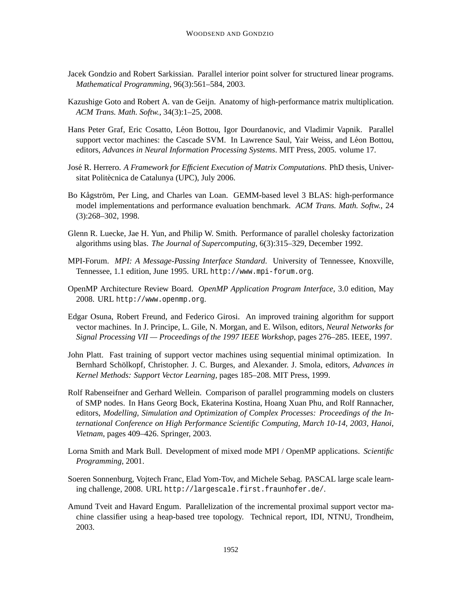- Jacek Gondzio and Robert Sarkissian. Parallel interior point solver for structured linear programs. *Mathematical Programming*, 96(3):561–584, 2003.
- Kazushige Goto and Robert A. van de Geijn. Anatomy of high-performance matrix multiplication. *ACM Trans. Math. Softw.*, 34(3):1–25, 2008.
- Hans Peter Graf, Eric Cosatto, Léon Bottou, Igor Dourdanovic, and Vladimir Vapnik. Parallel support vector machines: the Cascade SVM. In Lawrence Saul, Yair Weiss, and Léon Bottou, editors, *Advances in Neural Information Processing Systems*. MIT Press, 2005. volume 17.
- José R. Herrero. A *Framework for Efficient Execution of Matrix Computations*. PhD thesis, Universitat Politècnica de Catalunya (UPC), July 2006.
- Bo Kågström, Per Ling, and Charles van Loan. GEMM-based level 3 BLAS: high-performance model implementations and performance evaluation benchmark. *ACM Trans. Math. Softw.*, 24 (3):268–302, 1998.
- Glenn R. Luecke, Jae H. Yun, and Philip W. Smith. Performance of parallel cholesky factorization algorithms using blas. *The Journal of Supercomputing*, 6(3):315–329, December 1992.
- MPI-Forum. *MPI: A Message-Passing Interface Standard*. University of Tennessee, Knoxville, Tennessee, 1.1 edition, June 1995. URL http://www.mpi-forum.org.
- OpenMP Architecture Review Board. *OpenMP Application Program Interface*, 3.0 edition, May 2008. URL http://www.openmp.org.
- Edgar Osuna, Robert Freund, and Federico Girosi. An improved training algorithm for support vector machines. In J. Principe, L. Gile, N. Morgan, and E. Wilson, editors, *Neural Networks for Signal Processing VII — Proceedings of the 1997 IEEE Workshop*, pages 276–285. IEEE, 1997.
- John Platt. Fast training of support vector machines using sequential minimal optimization. In Bernhard Schölkopf, Christopher. J. C. Burges, and Alexander. J. Smola, editors, Advances in *Kernel Methods: Support Vector Learning*, pages 185–208. MIT Press, 1999.
- Rolf Rabenseifner and Gerhard Wellein. Comparison of parallel programming models on clusters of SMP nodes. In Hans Georg Bock, Ekaterina Kostina, Hoang Xuan Phu, and Rolf Rannacher, editors, *Modelling, Simulation and Optimization of Complex Processes: Proceedings of the International Conference on High Performance Scientific Computing, March 10-14, 2003, Hanoi, Vietnam*, pages 409–426. Springer, 2003.
- Lorna Smith and Mark Bull. Development of mixed mode MPI / OpenMP applications. *Scientific Programming*, 2001.
- Soeren Sonnenburg, Vojtech Franc, Elad Yom-Tov, and Michele Sebag. PASCAL large scale learning challenge, 2008. URL http://largescale.first.fraunhofer.de/.
- Amund Tveit and Havard Engum. Parallelization of the incremental proximal support vector machine classifier using a heap-based tree topology. Technical report, IDI, NTNU, Trondheim, 2003.